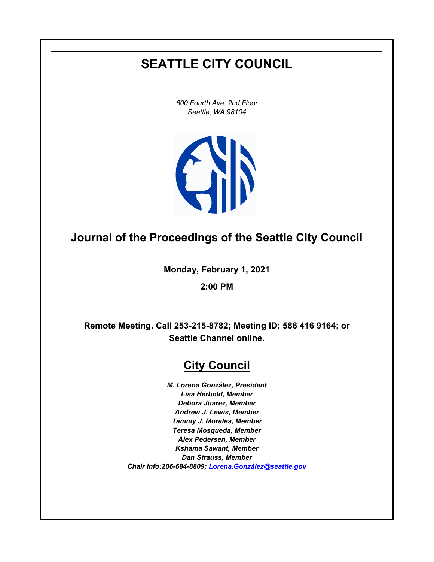# **SEATTLE CITY COUNCIL**

*600 Fourth Ave. 2nd Floor Seattle, WA 98104*



# **Journal of the Proceedings of the Seattle City Council**

**Monday, February 1, 2021**

**2:00 PM**

**Remote Meeting. Call 253-215-8782; Meeting ID: 586 416 9164; or Seattle Channel online.**

# **City Council**

*M. Lorena González, President Lisa Herbold, Member Debora Juarez, Member Andrew J. Lewis, Member Tammy J. Morales, Member Teresa Mosqueda, Member Alex Pedersen, Member Kshama Sawant, Member Dan Strauss, Member Chair Info:206-684-8809; [Lorena.González@seattle.gov](mailto: Lorena.Gonzalez@seattle.gov)*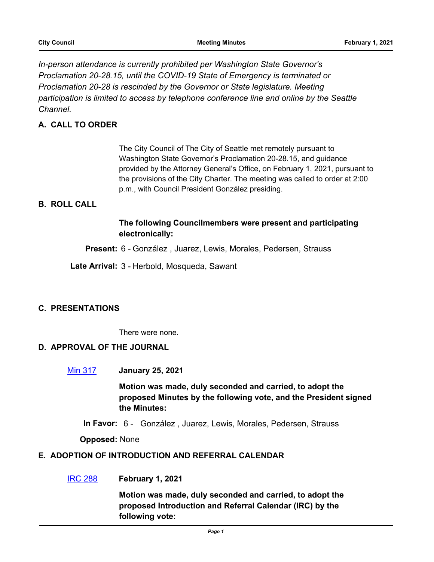*In-person attendance is currently prohibited per Washington State Governor's Proclamation 20-28.15, until the COVID-19 State of Emergency is terminated or Proclamation 20-28 is rescinded by the Governor or State legislature. Meeting participation is limited to access by telephone conference line and online by the Seattle Channel.*

# **A. CALL TO ORDER**

The City Council of The City of Seattle met remotely pursuant to Washington State Governor's Proclamation 20-28.15, and guidance provided by the Attorney General's Office, on February 1, 2021, pursuant to the provisions of the City Charter. The meeting was called to order at 2:00 p.m., with Council President González presiding.

# **B. ROLL CALL**

## **The following Councilmembers were present and participating electronically:**

**Present:** 6 - González , Juarez, Lewis, Morales, Pedersen, Strauss

**Late Arrival:** 3 - Herbold, Mosqueda, Sawant

## **C. PRESENTATIONS**

There were none.

## **D. APPROVAL OF THE JOURNAL**

[Min 317](http://seattle.legistar.com/gateway.aspx?m=l&id=/matter.aspx?key=11347) **January 25, 2021**

**Motion was made, duly seconded and carried, to adopt the proposed Minutes by the following vote, and the President signed the Minutes:**

**In Favor:** 6 - González , Juarez, Lewis, Morales, Pedersen, Strauss

**Opposed:** None

#### **E. ADOPTION OF INTRODUCTION AND REFERRAL CALENDAR**

[IRC 288](http://seattle.legistar.com/gateway.aspx?m=l&id=/matter.aspx?key=11348) **February 1, 2021**

**Motion was made, duly seconded and carried, to adopt the proposed Introduction and Referral Calendar (IRC) by the following vote:**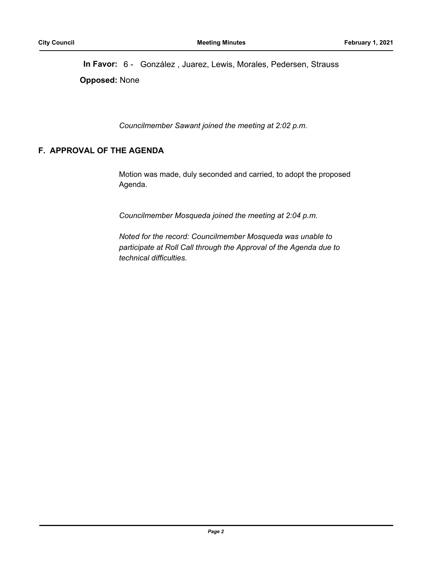**In Favor:** 6 - González , Juarez, Lewis, Morales, Pedersen, Strauss **Opposed:** None

*Councilmember Sawant joined the meeting at 2:02 p.m.*

## **F. APPROVAL OF THE AGENDA**

Motion was made, duly seconded and carried, to adopt the proposed Agenda.

*Councilmember Mosqueda joined the meeting at 2:04 p.m.*

*Noted for the record: Councilmember Mosqueda was unable to participate at Roll Call through the Approval of the Agenda due to technical difficulties.*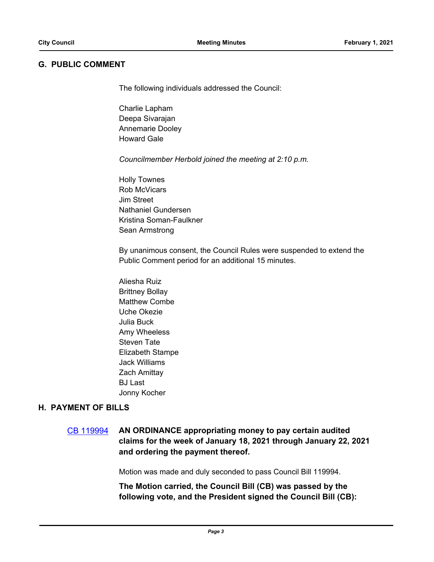## **G. PUBLIC COMMENT**

The following individuals addressed the Council:

Charlie Lapham Deepa Sivarajan Annemarie Dooley Howard Gale

*Councilmember Herbold joined the meeting at 2:10 p.m.*

Holly Townes Rob McVicars Jim Street Nathaniel Gundersen Kristina Soman-Faulkner Sean Armstrong

By unanimous consent, the Council Rules were suspended to extend the Public Comment period for an additional 15 minutes.

Aliesha Ruiz Brittney Bollay Matthew Combe Uche Okezie Julia Buck Amy Wheeless Steven Tate Elizabeth Stampe Jack Williams Zach Amittay BJ Last Jonny Kocher

## **H. PAYMENT OF BILLS**

[CB 119994](http://seattle.legistar.com/gateway.aspx?m=l&id=/matter.aspx?key=11334) **AN ORDINANCE appropriating money to pay certain audited claims for the week of January 18, 2021 through January 22, 2021 and ordering the payment thereof.**

Motion was made and duly seconded to pass Council Bill 119994.

**The Motion carried, the Council Bill (CB) was passed by the following vote, and the President signed the Council Bill (CB):**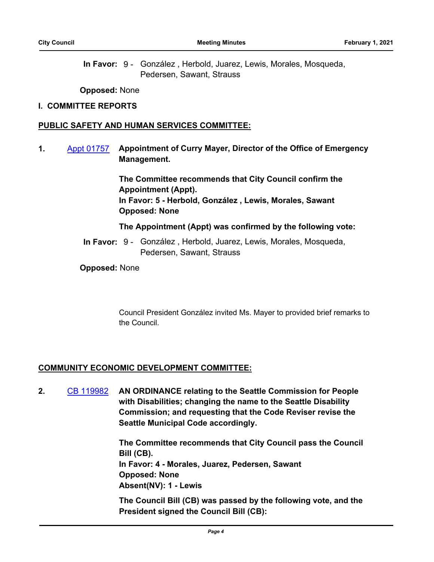In Favor: 9 - González, Herbold, Juarez, Lewis, Morales, Mosqueda, Pedersen, Sawant, Strauss

**Opposed:** None

#### **I. COMMITTEE REPORTS**

#### **PUBLIC SAFETY AND HUMAN SERVICES COMMITTEE:**

**1.** [Appt 01757](http://seattle.legistar.com/gateway.aspx?m=l&id=/matter.aspx?key=11266) **Appointment of Curry Mayer, Director of the Office of Emergency Management.**

> **The Committee recommends that City Council confirm the Appointment (Appt). In Favor: 5 - Herbold, González , Lewis, Morales, Sawant Opposed: None**

**The Appointment (Appt) was confirmed by the following vote:**

In Favor: 9 - González, Herbold, Juarez, Lewis, Morales, Mosqueda, Pedersen, Sawant, Strauss

**Opposed:** None

Council President González invited Ms. Mayer to provided brief remarks to the Council.

#### **COMMUNITY ECONOMIC DEVELOPMENT COMMITTEE:**

**2.** [CB 119982](http://seattle.legistar.com/gateway.aspx?m=l&id=/matter.aspx?key=10592) **AN ORDINANCE relating to the Seattle Commission for People with Disabilities; changing the name to the Seattle Disability Commission; and requesting that the Code Reviser revise the Seattle Municipal Code accordingly.**

> **The Committee recommends that City Council pass the Council Bill (CB). In Favor: 4 - Morales, Juarez, Pedersen, Sawant Opposed: None Absent(NV): 1 - Lewis**

> **The Council Bill (CB) was passed by the following vote, and the President signed the Council Bill (CB):**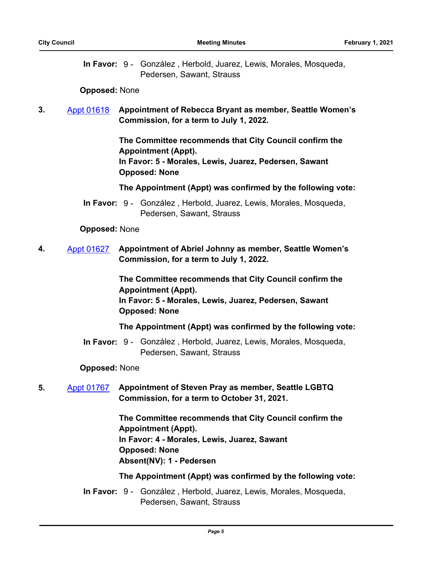In Favor: 9 - González, Herbold, Juarez, Lewis, Morales, Mosqueda, Pedersen, Sawant, Strauss

#### **Opposed:** None

# **3.** [Appt 01618](http://seattle.legistar.com/gateway.aspx?m=l&id=/matter.aspx?key=9935) **Appointment of Rebecca Bryant as member, Seattle Women's Commission, for a term to July 1, 2022.**

**The Committee recommends that City Council confirm the Appointment (Appt). In Favor: 5 - Morales, Lewis, Juarez, Pedersen, Sawant Opposed: None**

**The Appointment (Appt) was confirmed by the following vote:**

In Favor: 9 - González, Herbold, Juarez, Lewis, Morales, Mosqueda, Pedersen, Sawant, Strauss

#### **Opposed:** None

**4.** [Appt 01627](http://seattle.legistar.com/gateway.aspx?m=l&id=/matter.aspx?key=10109) **Appointment of Abriel Johnny as member, Seattle Women's Commission, for a term to July 1, 2022.**

> **The Committee recommends that City Council confirm the Appointment (Appt). In Favor: 5 - Morales, Lewis, Juarez, Pedersen, Sawant Opposed: None**

**The Appointment (Appt) was confirmed by the following vote:**

In Favor: 9 - González, Herbold, Juarez, Lewis, Morales, Mosqueda, Pedersen, Sawant, Strauss

## **Opposed:** None

**5.** [Appt 01767](http://seattle.legistar.com/gateway.aspx?m=l&id=/matter.aspx?key=10621) **Appointment of Steven Pray as member, Seattle LGBTQ Commission, for a term to October 31, 2021.**

> **The Committee recommends that City Council confirm the Appointment (Appt). In Favor: 4 - Morales, Lewis, Juarez, Sawant Opposed: None Absent(NV): 1 - Pedersen**

## **The Appointment (Appt) was confirmed by the following vote:**

In Favor: 9 - González, Herbold, Juarez, Lewis, Morales, Mosqueda, Pedersen, Sawant, Strauss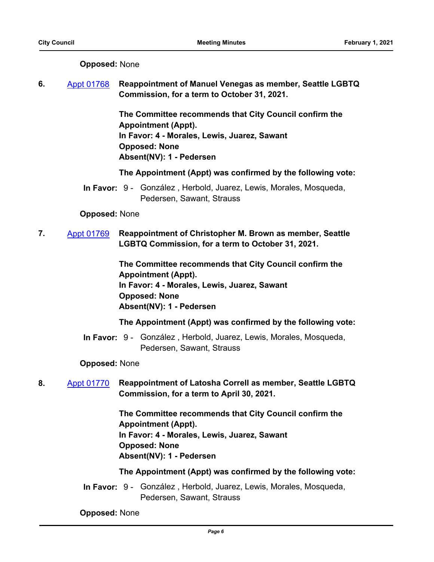| <b>Opposed: None</b> |  |
|----------------------|--|
|----------------------|--|

**6.** [Appt 01768](http://seattle.legistar.com/gateway.aspx?m=l&id=/matter.aspx?key=10622) **Reappointment of Manuel Venegas as member, Seattle LGBTQ Commission, for a term to October 31, 2021.**

> **The Committee recommends that City Council confirm the Appointment (Appt). In Favor: 4 - Morales, Lewis, Juarez, Sawant Opposed: None Absent(NV): 1 - Pedersen**

**The Appointment (Appt) was confirmed by the following vote:**

In Favor: 9 - González, Herbold, Juarez, Lewis, Morales, Mosqueda, Pedersen, Sawant, Strauss

#### **Opposed:** None

**7.** [Appt 01769](http://seattle.legistar.com/gateway.aspx?m=l&id=/matter.aspx?key=10616) **Reappointment of Christopher M. Brown as member, Seattle LGBTQ Commission, for a term to October 31, 2021.**

> **The Committee recommends that City Council confirm the Appointment (Appt). In Favor: 4 - Morales, Lewis, Juarez, Sawant Opposed: None Absent(NV): 1 - Pedersen**

#### **The Appointment (Appt) was confirmed by the following vote:**

In Favor: 9 - González, Herbold, Juarez, Lewis, Morales, Mosqueda, Pedersen, Sawant, Strauss

#### **Opposed:** None

**8.** [Appt 01770](http://seattle.legistar.com/gateway.aspx?m=l&id=/matter.aspx?key=10618) **Reappointment of Latosha Correll as member, Seattle LGBTQ Commission, for a term to April 30, 2021.**

> **The Committee recommends that City Council confirm the Appointment (Appt). In Favor: 4 - Morales, Lewis, Juarez, Sawant Opposed: None Absent(NV): 1 - Pedersen**

#### **The Appointment (Appt) was confirmed by the following vote:**

In Favor: 9 - González, Herbold, Juarez, Lewis, Morales, Mosqueda, Pedersen, Sawant, Strauss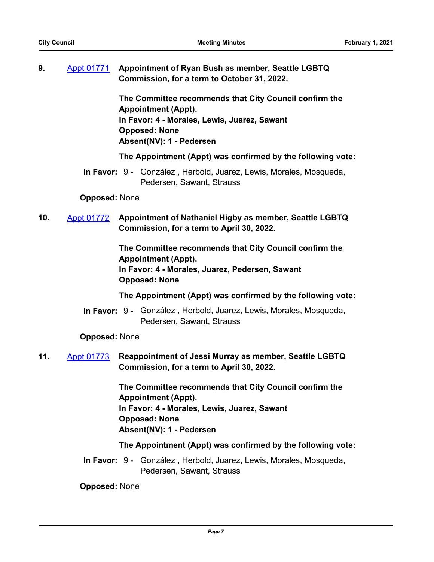|  | Appt 01771 Appointment of Ryan Bush as member, Seattle LGBTQ |
|--|--------------------------------------------------------------|
|  | Commission, for a term to October 31, 2022.                  |

**The Committee recommends that City Council confirm the Appointment (Appt). In Favor: 4 - Morales, Lewis, Juarez, Sawant Opposed: None Absent(NV): 1 - Pedersen**

**The Appointment (Appt) was confirmed by the following vote:**

In Favor: 9 - González, Herbold, Juarez, Lewis, Morales, Mosqueda, Pedersen, Sawant, Strauss

**Opposed:** None

**10.** [Appt 01772](http://seattle.legistar.com/gateway.aspx?m=l&id=/matter.aspx?key=10619) **Appointment of Nathaniel Higby as member, Seattle LGBTQ Commission, for a term to April 30, 2022.**

> **The Committee recommends that City Council confirm the Appointment (Appt). In Favor: 4 - Morales, Juarez, Pedersen, Sawant Opposed: None**

**The Appointment (Appt) was confirmed by the following vote:**

In Favor: 9 - González, Herbold, Juarez, Lewis, Morales, Mosqueda, Pedersen, Sawant, Strauss

**Opposed:** None

**11.** [Appt 01773](http://seattle.legistar.com/gateway.aspx?m=l&id=/matter.aspx?key=11265) **Reappointment of Jessi Murray as member, Seattle LGBTQ Commission, for a term to April 30, 2022.**

> **The Committee recommends that City Council confirm the Appointment (Appt). In Favor: 4 - Morales, Lewis, Juarez, Sawant Opposed: None Absent(NV): 1 - Pedersen**

## **The Appointment (Appt) was confirmed by the following vote:**

In Favor: 9 - González, Herbold, Juarez, Lewis, Morales, Mosqueda, Pedersen, Sawant, Strauss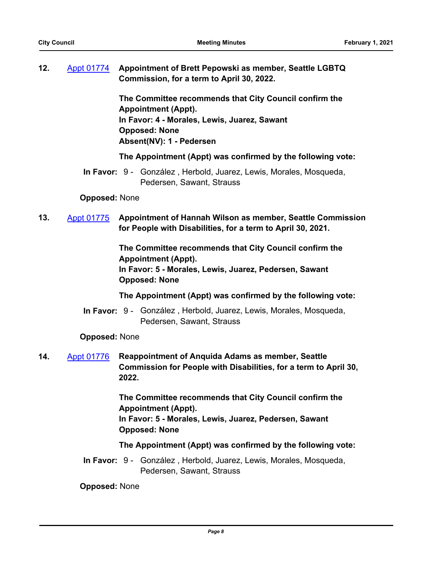| 12. | Appt 01774 Appointment of Brett Pepowski as member, Seattle LGBTQ |
|-----|-------------------------------------------------------------------|
|     | Commission, for a term to April 30, 2022.                         |

**The Committee recommends that City Council confirm the Appointment (Appt). In Favor: 4 - Morales, Lewis, Juarez, Sawant Opposed: None Absent(NV): 1 - Pedersen**

**The Appointment (Appt) was confirmed by the following vote:**

In Favor: 9 - González, Herbold, Juarez, Lewis, Morales, Mosqueda, Pedersen, Sawant, Strauss

**Opposed:** None

**13.** [Appt 01775](http://seattle.legistar.com/gateway.aspx?m=l&id=/matter.aspx?key=10623) **Appointment of Hannah Wilson as member, Seattle Commission for People with Disabilities, for a term to April 30, 2021.**

> **The Committee recommends that City Council confirm the Appointment (Appt). In Favor: 5 - Morales, Lewis, Juarez, Pedersen, Sawant Opposed: None**

**The Appointment (Appt) was confirmed by the following vote:**

In Favor: 9 - González, Herbold, Juarez, Lewis, Morales, Mosqueda, Pedersen, Sawant, Strauss

**Opposed:** None

**14.** [Appt 01776](http://seattle.legistar.com/gateway.aspx?m=l&id=/matter.aspx?key=11267) **Reappointment of Anquida Adams as member, Seattle Commission for People with Disabilities, for a term to April 30, 2022.**

> **The Committee recommends that City Council confirm the Appointment (Appt). In Favor: 5 - Morales, Lewis, Juarez, Pedersen, Sawant Opposed: None**

## **The Appointment (Appt) was confirmed by the following vote:**

In Favor: 9 - González, Herbold, Juarez, Lewis, Morales, Mosqueda, Pedersen, Sawant, Strauss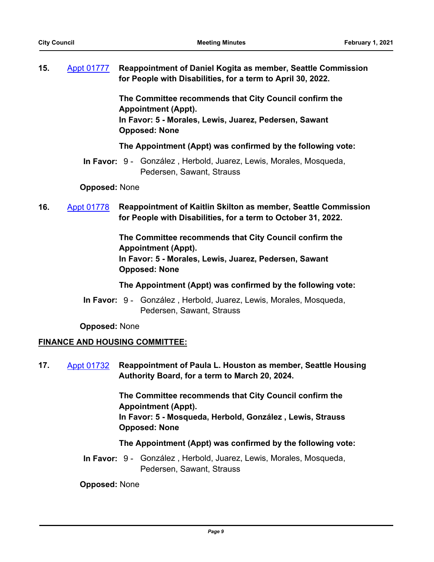**15.** [Appt 01777](http://seattle.legistar.com/gateway.aspx?m=l&id=/matter.aspx?key=11268) **Reappointment of Daniel Kogita as member, Seattle Commission for People with Disabilities, for a term to April 30, 2022.**

> **The Committee recommends that City Council confirm the Appointment (Appt). In Favor: 5 - Morales, Lewis, Juarez, Pedersen, Sawant Opposed: None**

**The Appointment (Appt) was confirmed by the following vote:**

In Favor: 9 - González, Herbold, Juarez, Lewis, Morales, Mosqueda, Pedersen, Sawant, Strauss

**Opposed:** None

**16.** [Appt 01778](http://seattle.legistar.com/gateway.aspx?m=l&id=/matter.aspx?key=11269) **Reappointment of Kaitlin Skilton as member, Seattle Commission for People with Disabilities, for a term to October 31, 2022.**

> **The Committee recommends that City Council confirm the Appointment (Appt). In Favor: 5 - Morales, Lewis, Juarez, Pedersen, Sawant Opposed: None**

**The Appointment (Appt) was confirmed by the following vote:**

In Favor: 9 - González, Herbold, Juarez, Lewis, Morales, Mosqueda, Pedersen, Sawant, Strauss

**Opposed:** None

## **FINANCE AND HOUSING COMMITTEE:**

**17.** [Appt 01732](http://seattle.legistar.com/gateway.aspx?m=l&id=/matter.aspx?key=10628) **Reappointment of Paula L. Houston as member, Seattle Housing Authority Board, for a term to March 20, 2024.**

> **The Committee recommends that City Council confirm the Appointment (Appt). In Favor: 5 - Mosqueda, Herbold, González , Lewis, Strauss**

**Opposed: None**

## **The Appointment (Appt) was confirmed by the following vote:**

In Favor: 9 - González, Herbold, Juarez, Lewis, Morales, Mosqueda, Pedersen, Sawant, Strauss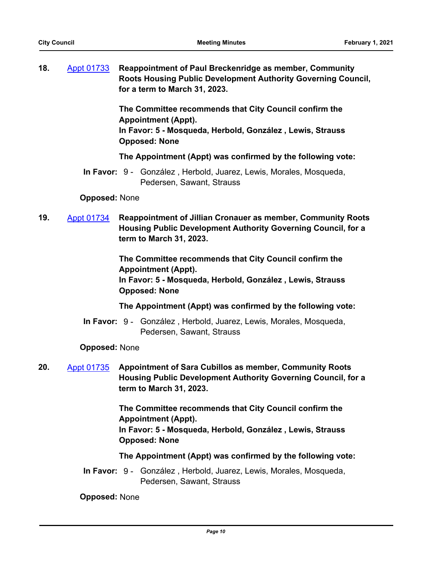**18.** [Appt 01733](http://seattle.legistar.com/gateway.aspx?m=l&id=/matter.aspx?key=11244) **Reappointment of Paul Breckenridge as member, Community Roots Housing Public Development Authority Governing Council, for a term to March 31, 2023.**

> **The Committee recommends that City Council confirm the Appointment (Appt).**

> **In Favor: 5 - Mosqueda, Herbold, González , Lewis, Strauss Opposed: None**

**The Appointment (Appt) was confirmed by the following vote:**

In Favor: 9 - González, Herbold, Juarez, Lewis, Morales, Mosqueda, Pedersen, Sawant, Strauss

#### **Opposed:** None

**19.** [Appt 01734](http://seattle.legistar.com/gateway.aspx?m=l&id=/matter.aspx?key=11246) **Reappointment of Jillian Cronauer as member, Community Roots Housing Public Development Authority Governing Council, for a term to March 31, 2023.**

> **The Committee recommends that City Council confirm the Appointment (Appt). In Favor: 5 - Mosqueda, Herbold, González , Lewis, Strauss Opposed: None**

**The Appointment (Appt) was confirmed by the following vote:**

In Favor: 9 - González, Herbold, Juarez, Lewis, Morales, Mosqueda, Pedersen, Sawant, Strauss

## **Opposed:** None

**20.** [Appt 01735](http://seattle.legistar.com/gateway.aspx?m=l&id=/matter.aspx?key=11247) **Appointment of Sara Cubillos as member, Community Roots Housing Public Development Authority Governing Council, for a term to March 31, 2023.**

> **The Committee recommends that City Council confirm the Appointment (Appt).**

> **In Favor: 5 - Mosqueda, Herbold, González , Lewis, Strauss Opposed: None**

**The Appointment (Appt) was confirmed by the following vote:**

In Favor: 9 - González, Herbold, Juarez, Lewis, Morales, Mosqueda, Pedersen, Sawant, Strauss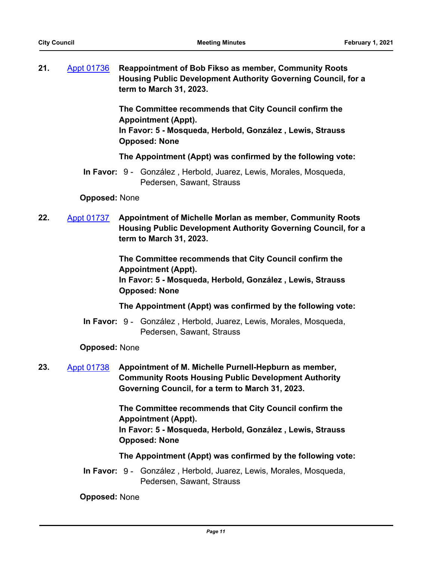**21.** [Appt 01736](http://seattle.legistar.com/gateway.aspx?m=l&id=/matter.aspx?key=11248) **Reappointment of Bob Fikso as member, Community Roots Housing Public Development Authority Governing Council, for a term to March 31, 2023.**

> **The Committee recommends that City Council confirm the Appointment (Appt).**

> **In Favor: 5 - Mosqueda, Herbold, González , Lewis, Strauss Opposed: None**

**The Appointment (Appt) was confirmed by the following vote:**

In Favor: 9 - González, Herbold, Juarez, Lewis, Morales, Mosqueda, Pedersen, Sawant, Strauss

#### **Opposed:** None

**22.** [Appt 01737](http://seattle.legistar.com/gateway.aspx?m=l&id=/matter.aspx?key=11249) **Appointment of Michelle Morlan as member, Community Roots Housing Public Development Authority Governing Council, for a term to March 31, 2023.**

> **The Committee recommends that City Council confirm the Appointment (Appt). In Favor: 5 - Mosqueda, Herbold, González , Lewis, Strauss Opposed: None**

**The Appointment (Appt) was confirmed by the following vote:**

In Favor: 9 - González, Herbold, Juarez, Lewis, Morales, Mosqueda, Pedersen, Sawant, Strauss

#### **Opposed:** None

**23.** [Appt 01738](http://seattle.legistar.com/gateway.aspx?m=l&id=/matter.aspx?key=11250) **Appointment of M. Michelle Purnell-Hepburn as member, Community Roots Housing Public Development Authority Governing Council, for a term to March 31, 2023.**

> **The Committee recommends that City Council confirm the Appointment (Appt).**

**In Favor: 5 - Mosqueda, Herbold, González , Lewis, Strauss Opposed: None**

**The Appointment (Appt) was confirmed by the following vote:**

In Favor: 9 - González, Herbold, Juarez, Lewis, Morales, Mosqueda, Pedersen, Sawant, Strauss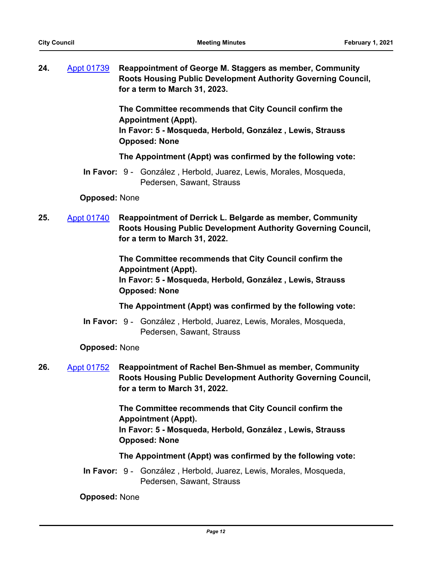**24.** [Appt 01739](http://seattle.legistar.com/gateway.aspx?m=l&id=/matter.aspx?key=11251) **Reappointment of George M. Staggers as member, Community Roots Housing Public Development Authority Governing Council, for a term to March 31, 2023.**

> **The Committee recommends that City Council confirm the Appointment (Appt).**

> **In Favor: 5 - Mosqueda, Herbold, González , Lewis, Strauss Opposed: None**

**The Appointment (Appt) was confirmed by the following vote:**

In Favor: 9 - González, Herbold, Juarez, Lewis, Morales, Mosqueda, Pedersen, Sawant, Strauss

#### **Opposed:** None

**25.** [Appt 01740](http://seattle.legistar.com/gateway.aspx?m=l&id=/matter.aspx?key=8713) **Reappointment of Derrick L. Belgarde as member, Community Roots Housing Public Development Authority Governing Council, for a term to March 31, 2022.**

> **The Committee recommends that City Council confirm the Appointment (Appt). In Favor: 5 - Mosqueda, Herbold, González , Lewis, Strauss Opposed: None**

**The Appointment (Appt) was confirmed by the following vote:**

In Favor: 9 - González, Herbold, Juarez, Lewis, Morales, Mosqueda, Pedersen, Sawant, Strauss

## **Opposed:** None

**26.** [Appt 01752](http://seattle.legistar.com/gateway.aspx?m=l&id=/matter.aspx?key=8714) **Reappointment of Rachel Ben-Shmuel as member, Community Roots Housing Public Development Authority Governing Council, for a term to March 31, 2022.**

> **The Committee recommends that City Council confirm the Appointment (Appt). In Favor: 5 - Mosqueda, Herbold, González , Lewis, Strauss**

**The Appointment (Appt) was confirmed by the following vote:**

In Favor: 9 - González, Herbold, Juarez, Lewis, Morales, Mosqueda, Pedersen, Sawant, Strauss

## **Opposed:** None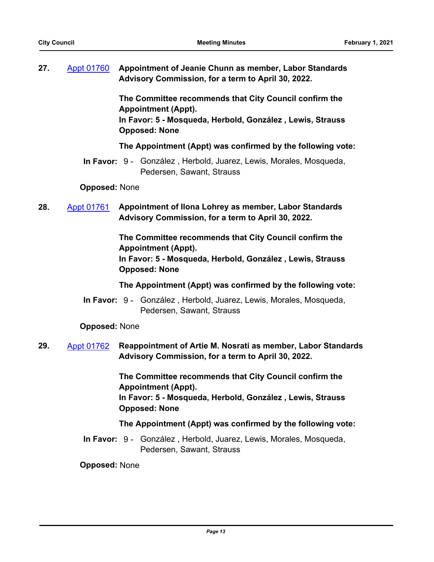**27.** [Appt 01760](http://seattle.legistar.com/gateway.aspx?m=l&id=/matter.aspx?key=11290) **Appointment of Jeanie Chunn as member, Labor Standards Advisory Commission, for a term to April 30, 2022.**

> **The Committee recommends that City Council confirm the Appointment (Appt). In Favor: 5 - Mosqueda, Herbold, González , Lewis, Strauss Opposed: None**

**The Appointment (Appt) was confirmed by the following vote:**

In Favor: 9 - González, Herbold, Juarez, Lewis, Morales, Mosqueda, Pedersen, Sawant, Strauss

**Opposed:** None

**28.** [Appt 01761](http://seattle.legistar.com/gateway.aspx?m=l&id=/matter.aspx?key=11292) **Appointment of Ilona Lohrey as member, Labor Standards Advisory Commission, for a term to April 30, 2022.**

> **The Committee recommends that City Council confirm the Appointment (Appt). In Favor: 5 - Mosqueda, Herbold, González , Lewis, Strauss Opposed: None**

**The Appointment (Appt) was confirmed by the following vote:**

In Favor: 9 - González, Herbold, Juarez, Lewis, Morales, Mosqueda, Pedersen, Sawant, Strauss

**Opposed:** None

# **29.** [Appt 01762](http://seattle.legistar.com/gateway.aspx?m=l&id=/matter.aspx?key=11293) **Reappointment of Artie M. Nosrati as member, Labor Standards Advisory Commission, for a term to April 30, 2022.**

**The Committee recommends that City Council confirm the Appointment (Appt). In Favor: 5 - Mosqueda, Herbold, González , Lewis, Strauss**

**Opposed: None**

## **The Appointment (Appt) was confirmed by the following vote:**

In Favor: 9 - González, Herbold, Juarez, Lewis, Morales, Mosqueda, Pedersen, Sawant, Strauss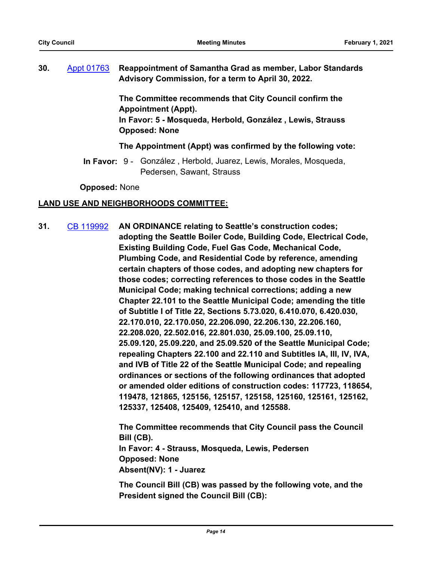**30.** [Appt 01763](http://seattle.legistar.com/gateway.aspx?m=l&id=/matter.aspx?key=11291) **Reappointment of Samantha Grad as member, Labor Standards Advisory Commission, for a term to April 30, 2022.**

> **The Committee recommends that City Council confirm the Appointment (Appt). In Favor: 5 - Mosqueda, Herbold, González , Lewis, Strauss Opposed: None**

#### **The Appointment (Appt) was confirmed by the following vote:**

In Favor: 9 - González, Herbold, Juarez, Lewis, Morales, Mosqueda, Pedersen, Sawant, Strauss

**Opposed:** None

## **LAND USE AND NEIGHBORHOODS COMMITTEE:**

**31.** [CB 119992](http://seattle.legistar.com/gateway.aspx?m=l&id=/matter.aspx?key=11277) **AN ORDINANCE relating to Seattle's construction codes; adopting the Seattle Boiler Code, Building Code, Electrical Code, Existing Building Code, Fuel Gas Code, Mechanical Code, Plumbing Code, and Residential Code by reference, amending certain chapters of those codes, and adopting new chapters for those codes; correcting references to those codes in the Seattle Municipal Code; making technical corrections; adding a new Chapter 22.101 to the Seattle Municipal Code; amending the title of Subtitle I of Title 22, Sections 5.73.020, 6.410.070, 6.420.030, 22.170.010, 22.170.050, 22.206.090, 22.206.130, 22.206.160, 22.208.020, 22.502.016, 22.801.030, 25.09.100, 25.09.110, 25.09.120, 25.09.220, and 25.09.520 of the Seattle Municipal Code; repealing Chapters 22.100 and 22.110 and Subtitles IA, III, IV, IVA, and IVB of Title 22 of the Seattle Municipal Code; and repealing ordinances or sections of the following ordinances that adopted or amended older editions of construction codes: 117723, 118654, 119478, 121865, 125156, 125157, 125158, 125160, 125161, 125162, 125337, 125408, 125409, 125410, and 125588.**

> **The Committee recommends that City Council pass the Council Bill (CB). In Favor: 4 - Strauss, Mosqueda, Lewis, Pedersen Opposed: None Absent(NV): 1 - Juarez**

> **The Council Bill (CB) was passed by the following vote, and the President signed the Council Bill (CB):**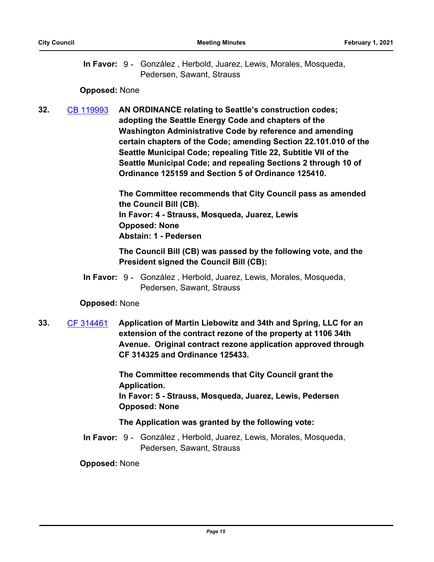In Favor: 9 - González, Herbold, Juarez, Lewis, Morales, Mosqueda, Pedersen, Sawant, Strauss

#### **Opposed:** None

**32.** [CB 119993](http://seattle.legistar.com/gateway.aspx?m=l&id=/matter.aspx?key=11280) **AN ORDINANCE relating to Seattle's construction codes; adopting the Seattle Energy Code and chapters of the Washington Administrative Code by reference and amending certain chapters of the Code; amending Section 22.101.010 of the Seattle Municipal Code; repealing Title 22, Subtitle VII of the Seattle Municipal Code; and repealing Sections 2 through 10 of Ordinance 125159 and Section 5 of Ordinance 125410.**

> **The Committee recommends that City Council pass as amended the Council Bill (CB). In Favor: 4 - Strauss, Mosqueda, Juarez, Lewis Opposed: None Abstain: 1 - Pedersen**

> **The Council Bill (CB) was passed by the following vote, and the President signed the Council Bill (CB):**

In Favor: 9 - González, Herbold, Juarez, Lewis, Morales, Mosqueda, Pedersen, Sawant, Strauss

## **Opposed:** None

**33.** [CF 314461](http://seattle.legistar.com/gateway.aspx?m=l&id=/matter.aspx?key=10551) **Application of Martin Liebowitz and 34th and Spring, LLC for an extension of the contract rezone of the property at 1106 34th Avenue. Original contract rezone application approved through CF 314325 and Ordinance 125433.**

> **The Committee recommends that City Council grant the Application.**

**In Favor: 5 - Strauss, Mosqueda, Juarez, Lewis, Pedersen Opposed: None**

#### **The Application was granted by the following vote:**

In Favor: 9 - González, Herbold, Juarez, Lewis, Morales, Mosqueda, Pedersen, Sawant, Strauss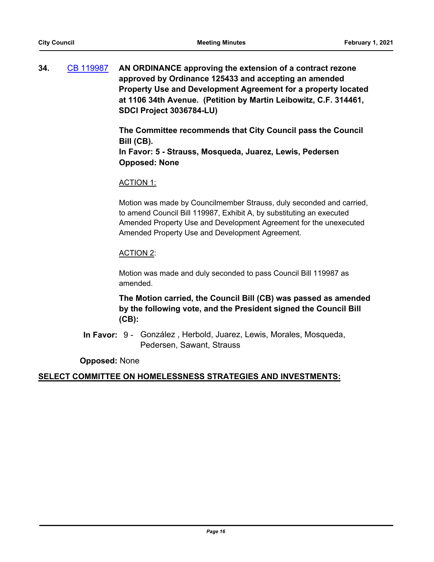**34.** [CB 119987](http://seattle.legistar.com/gateway.aspx?m=l&id=/matter.aspx?key=11227) **AN ORDINANCE approving the extension of a contract rezone approved by Ordinance 125433 and accepting an amended Property Use and Development Agreement for a property located at 1106 34th Avenue. (Petition by Martin Leibowitz, C.F. 314461, SDCI Project 3036784-LU)**

> **The Committee recommends that City Council pass the Council Bill (CB).**

**In Favor: 5 - Strauss, Mosqueda, Juarez, Lewis, Pedersen Opposed: None**

#### ACTION 1:

Motion was made by Councilmember Strauss, duly seconded and carried, to amend Council Bill 119987, Exhibit A, by substituting an executed Amended Property Use and Development Agreement for the unexecuted Amended Property Use and Development Agreement.

## ACTION 2:

Motion was made and duly seconded to pass Council Bill 119987 as amended.

**The Motion carried, the Council Bill (CB) was passed as amended by the following vote, and the President signed the Council Bill (CB):**

In Favor: 9 - González, Herbold, Juarez, Lewis, Morales, Mosqueda, Pedersen, Sawant, Strauss

#### **Opposed:** None

## **SELECT COMMITTEE ON HOMELESSNESS STRATEGIES AND INVESTMENTS:**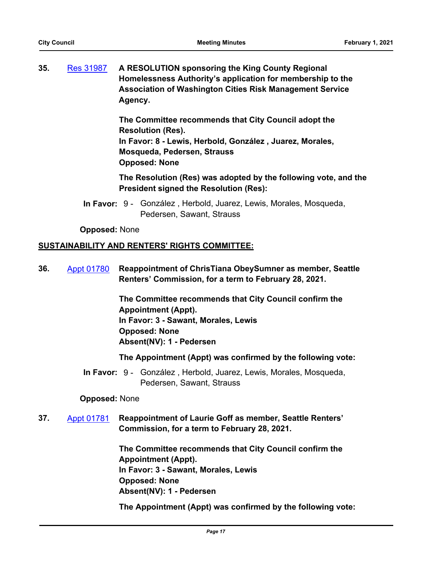**35.** [Res 31987](http://seattle.legistar.com/gateway.aspx?m=l&id=/matter.aspx?key=11278) **A RESOLUTION sponsoring the King County Regional Homelessness Authority's application for membership to the Association of Washington Cities Risk Management Service Agency.**

> **The Committee recommends that City Council adopt the Resolution (Res). In Favor: 8 - Lewis, Herbold, González , Juarez, Morales, Mosqueda, Pedersen, Strauss Opposed: None**

**The Resolution (Res) was adopted by the following vote, and the President signed the Resolution (Res):**

In Favor: 9 - González, Herbold, Juarez, Lewis, Morales, Mosqueda, Pedersen, Sawant, Strauss

#### **Opposed:** None

## **SUSTAINABILITY AND RENTERS' RIGHTS COMMITTEE:**

**36.** [Appt 01780](http://seattle.legistar.com/gateway.aspx?m=l&id=/matter.aspx?key=9855) **Reappointment of ChrisTiana ObeySumner as member, Seattle Renters' Commission, for a term to February 28, 2021.**

> **The Committee recommends that City Council confirm the Appointment (Appt). In Favor: 3 - Sawant, Morales, Lewis Opposed: None Absent(NV): 1 - Pedersen**

#### **The Appointment (Appt) was confirmed by the following vote:**

In Favor: 9 - González, Herbold, Juarez, Lewis, Morales, Mosqueda, Pedersen, Sawant, Strauss

#### **Opposed:** None

**37.** [Appt 01781](http://seattle.legistar.com/gateway.aspx?m=l&id=/matter.aspx?key=11217) **Reappointment of Laurie Goff as member, Seattle Renters' Commission, for a term to February 28, 2021.**

> **The Committee recommends that City Council confirm the Appointment (Appt). In Favor: 3 - Sawant, Morales, Lewis Opposed: None Absent(NV): 1 - Pedersen**

**The Appointment (Appt) was confirmed by the following vote:**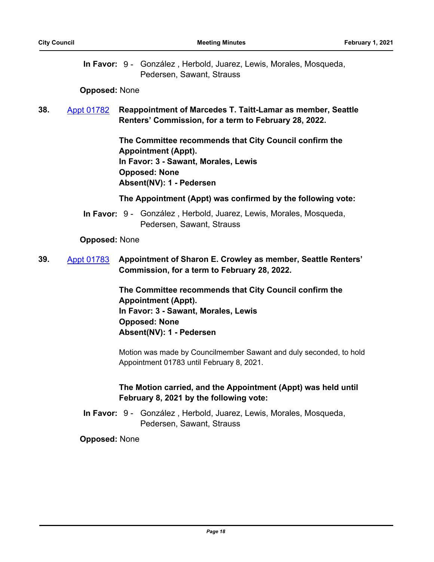In Favor: 9 - González, Herbold, Juarez, Lewis, Morales, Mosqueda, Pedersen, Sawant, Strauss

### **Opposed:** None

# **38.** [Appt 01782](http://seattle.legistar.com/gateway.aspx?m=l&id=/matter.aspx?key=11318) **Reappointment of Marcedes T. Taitt-Lamar as member, Seattle Renters' Commission, for a term to February 28, 2022.**

**The Committee recommends that City Council confirm the Appointment (Appt). In Favor: 3 - Sawant, Morales, Lewis Opposed: None Absent(NV): 1 - Pedersen**

#### **The Appointment (Appt) was confirmed by the following vote:**

In Favor: 9 - González, Herbold, Juarez, Lewis, Morales, Mosqueda, Pedersen, Sawant, Strauss

#### **Opposed:** None

# **39.** [Appt 01783](http://seattle.legistar.com/gateway.aspx?m=l&id=/matter.aspx?key=11326) **Appointment of Sharon E. Crowley as member, Seattle Renters' Commission, for a term to February 28, 2022.**

**The Committee recommends that City Council confirm the Appointment (Appt). In Favor: 3 - Sawant, Morales, Lewis Opposed: None Absent(NV): 1 - Pedersen**

Motion was made by Councilmember Sawant and duly seconded, to hold Appointment 01783 until February 8, 2021.

# **The Motion carried, and the Appointment (Appt) was held until February 8, 2021 by the following vote:**

In Favor: 9 - González, Herbold, Juarez, Lewis, Morales, Mosqueda, Pedersen, Sawant, Strauss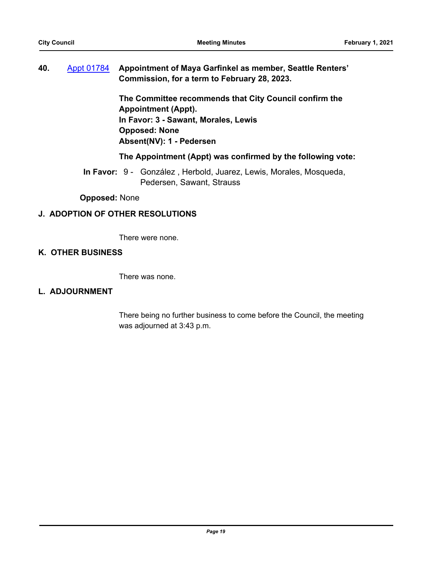# **40.** [Appt 01784](http://seattle.legistar.com/gateway.aspx?m=l&id=/matter.aspx?key=11327) **Appointment of Maya Garfinkel as member, Seattle Renters' Commission, for a term to February 28, 2023.**

**The Committee recommends that City Council confirm the Appointment (Appt). In Favor: 3 - Sawant, Morales, Lewis Opposed: None Absent(NV): 1 - Pedersen**

## **The Appointment (Appt) was confirmed by the following vote:**

In Favor: 9 - González, Herbold, Juarez, Lewis, Morales, Mosqueda, Pedersen, Sawant, Strauss

**Opposed:** None

## **J. ADOPTION OF OTHER RESOLUTIONS**

There were none.

## **K. OTHER BUSINESS**

There was none.

#### **L. ADJOURNMENT**

There being no further business to come before the Council, the meeting was adjourned at 3:43 p.m.